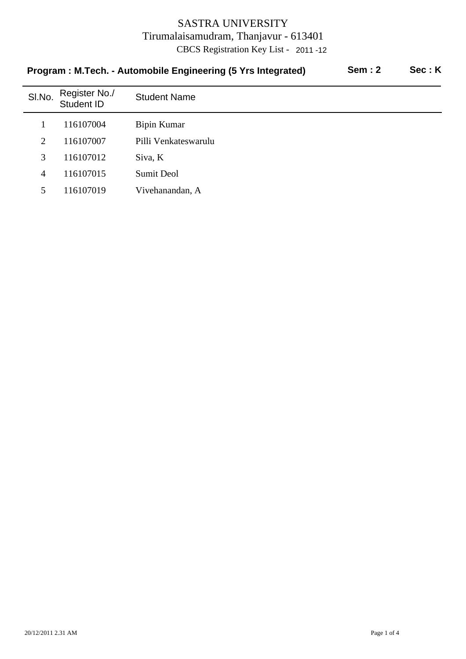| Program : M.Tech. - Automobile Engineering (5 Yrs Integrated)<br>Sem : 2<br>Sec : K |                             |                      |  |  |  |
|-------------------------------------------------------------------------------------|-----------------------------|----------------------|--|--|--|
| SI.No.                                                                              | Register No./<br>Student ID | <b>Student Name</b>  |  |  |  |
| 1                                                                                   | 116107004                   | Bipin Kumar          |  |  |  |
| 2                                                                                   | 116107007                   | Pilli Venkateswarulu |  |  |  |
| 3                                                                                   | 116107012                   | Siva, K              |  |  |  |
| $\overline{4}$                                                                      | 116107015                   | <b>Sumit Deol</b>    |  |  |  |
| 5.                                                                                  | 116107019                   | Vivehanandan, A      |  |  |  |

# **Program : M.Tech. - Automobile Engineering (5 Yrs Integrated) Sem : 2 Sec : K**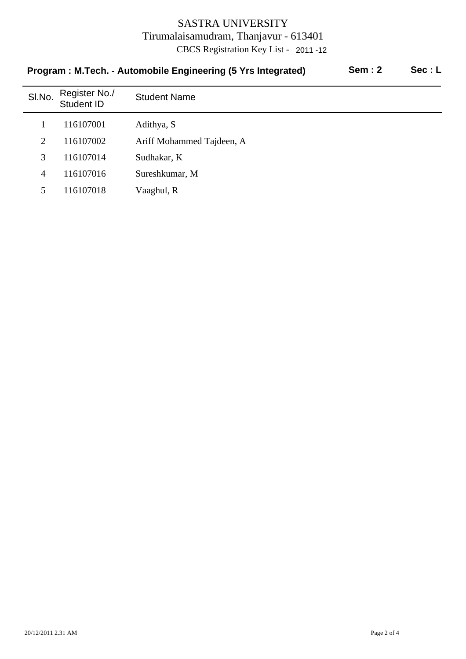| Program: M.Tech. - Automobile Engineering to TIS integrated)<br>5511.2<br>956 . L |                             |                           |  |  |
|-----------------------------------------------------------------------------------|-----------------------------|---------------------------|--|--|
| SI.No.                                                                            | Register No./<br>Student ID | <b>Student Name</b>       |  |  |
|                                                                                   | 116107001                   | Adithya, S                |  |  |
| 2                                                                                 | 116107002                   | Ariff Mohammed Tajdeen, A |  |  |
| 3                                                                                 | 116107014                   | Sudhakar, K               |  |  |
| $\overline{4}$                                                                    | 116107016                   | Sureshkumar, M            |  |  |
| 5                                                                                 | 116107018                   | Vaaghul, R                |  |  |
|                                                                                   |                             |                           |  |  |

# **Program : M.Tech. - Automobile Engineering (5 Vrs Integrated)** Sem : 2 Sec : L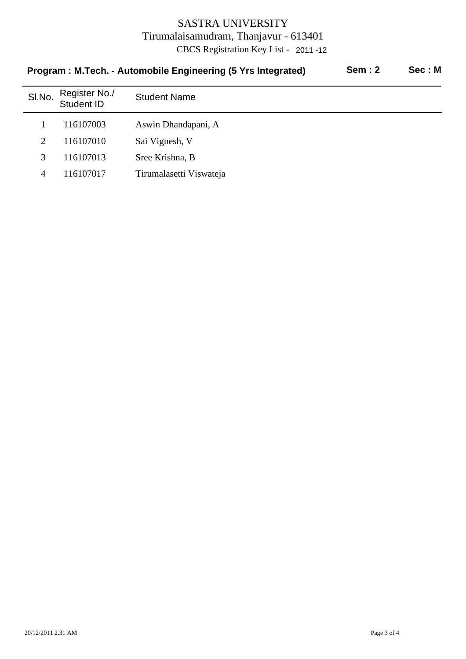| <b>Sem: 2</b><br>Program: M.Tech. - Automobile Engineering (5 Yrs Integrated) |                             |                         |  | Sec: M |
|-------------------------------------------------------------------------------|-----------------------------|-------------------------|--|--------|
| SI.No.                                                                        | Register No./<br>Student ID | <b>Student Name</b>     |  |        |
|                                                                               | 116107003                   | Aswin Dhandapani, A     |  |        |
| 2                                                                             | 116107010                   | Sai Vignesh, V          |  |        |
| 3                                                                             | 116107013                   | Sree Krishna, B         |  |        |
| 4                                                                             | 116107017                   | Tirumalasetti Viswateja |  |        |